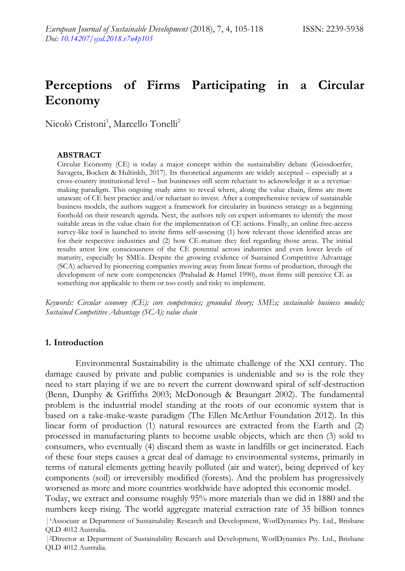# **Perceptions of Firms Participating in a Circular Economy**

Nicolò Cristoni<sup>1</sup>, Marcello Tonelli<sup>2</sup>

#### **ABSTRACT**

Circular Economy (CE) is today a major concept within the sustainability debate (Geissdoerfer, Savageta, Bocken & Hultinkb, 2017). Its theoretical arguments are widely accepted – especially at a cross-country institutional level – but businesses still seem reluctant to acknowledge it as a revenuemaking paradigm. This ongoing study aims to reveal where, along the value chain, firms are more unaware of CE best practice and/or reluctant to invest. After a comprehensive review of sustainable business models, the authors suggest a framework for circularity in business strategy as a beginning foothold on their research agenda. Next, the authors rely on expert informants to identify the most suitable areas in the value chain for the implementation of CE actions. Finally, an online free-access survey-like tool is launched to invite firms self-assessing (1) how relevant those identified areas are for their respective industries and (2) how CE-mature they feel regarding those areas. The initial results attest low consciousness of the CE potential across industries and even lower levels of maturity, especially by SMEs. Despite the growing evidence of Sustained Competitive Advantage (SCA) achieved by pioneering companies moving away from linear forms of production, through the development of new core competencies (Prahalad & Hamel 1990), most firms still perceive CE as something not applicable to them or too costly and risky to implement.

*Keywords: Circular economy (CE); core competencies; grounded theory; SMEs; sustainable business models; Sustained Competitive Advantage (SCA); value chain*

### **1. Introduction**

Environmental Sustainability is the ultimate challenge of the XXI century. The damage caused by private and public companies is undeniable and so is the role they need to start playing if we are to revert the current downward spiral of self-destruction (Benn, Dunphy & Griffiths 2003; McDonough & Braungart 2002). The fundamental problem is the industrial model standing at the roots of our economic system that is based on a take-make-waste paradigm (The Ellen McArthur Foundation 2012). In this linear form of production (1) natural resources are extracted from the Earth and (2) processed in manufacturing plants to become usable objects, which are then (3) sold to consumers, who eventually (4) discard them as waste in landfills or get incinerated. Each of these four steps causes a great deal of damage to environmental systems, primarily in terms of natural elements getting heavily polluted (air and water), being deprived of key components (soil) or irreversibly modified (forests). And the problem has progressively worsened as more and more countries worldwide have adopted this economic model.

| 'Associate at Department of Sustainability Research and Development, WorlDynamics Pty. Ltd., Brisbane QLD 4012 Australia. Today, we extract and consume roughly 95% more materials than we did in 1880 and the numbers keep rising. The world aggregate material extraction rate of 35 billion tonnes

<sup>|</sup>2Director at Department of Sustainability Research and Development, WorlDynamics Pty. Ltd., Brisbane QLD 4012 Australia.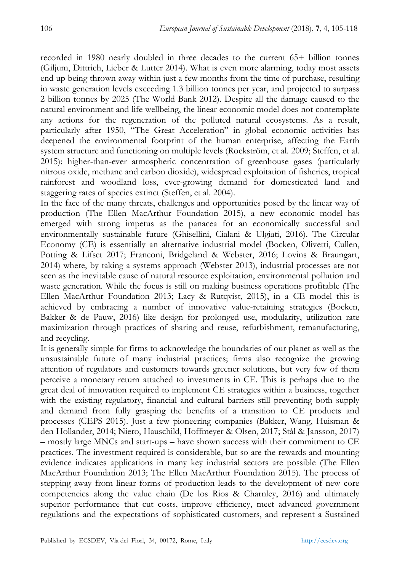recorded in 1980 nearly doubled in three decades to the current 65+ billion tonnes (Giljum, Dittrich, Lieber & Lutter 2014). What is even more alarming, today most assets end up being thrown away within just a few months from the time of purchase, resulting in waste generation levels exceeding 1.3 billion tonnes per year, and projected to surpass 2 billion tonnes by 2025 (The World Bank 2012). Despite all the damage caused to the natural environment and life wellbeing, the linear economic model does not contemplate any actions for the regeneration of the polluted natural ecosystems. As a result, particularly after 1950, "The Great Acceleration" in global economic activities has deepened the environmental footprint of the human enterprise, affecting the Earth system structure and functioning on multiple levels (Rockström, et al. 2009; Steffen, et al. 2015): higher-than-ever atmospheric concentration of greenhouse gases (particularly nitrous oxide, methane and carbon dioxide), widespread exploitation of fisheries, tropical rainforest and woodland loss, ever-growing demand for domesticated land and staggering rates of species extinct (Steffen, et al. 2004).

In the face of the many threats, challenges and opportunities posed by the linear way of production (The Ellen MacArthur Foundation 2015), a new economic model has emerged with strong impetus as the panacea for an economically successful and environmentally sustainable future (Ghisellini, Cialani & Ulgiati, 2016). The Circular Economy (CE) is essentially an alternative industrial model (Bocken, Olivetti, Cullen, Potting & Lifset 2017; Franconi, Bridgeland & Webster, 2016; Lovins & Braungart, 2014) where, by taking a systems approach (Webster 2013), industrial processes are not seen as the inevitable cause of natural resource exploitation, environmental pollution and waste generation. While the focus is still on making business operations profitable (The Ellen MacArthur Foundation 2013; Lacy & Rutqvist, 2015), in a CE model this is achieved by embracing a number of innovative value-retaining strategies (Bocken, Bakker & de Pauw, 2016) like design for prolonged use, modularity, utilization rate maximization through practices of sharing and reuse, refurbishment, remanufacturing, and recycling.

It is generally simple for firms to acknowledge the boundaries of our planet as well as the unsustainable future of many industrial practices; firms also recognize the growing attention of regulators and customers towards greener solutions, but very few of them perceive a monetary return attached to investments in CE. This is perhaps due to the great deal of innovation required to implement CE strategies within a business, together with the existing regulatory, financial and cultural barriers still preventing both supply and demand from fully grasping the benefits of a transition to CE products and processes (CEPS 2015). Just a few pioneering companies (Bakker, Wang, Huisman & den Hollander, 2014; Niero, Hauschild, Hoffmeyer & Olsen, 2017; Stål & Jansson, 2017) – mostly large MNCs and start-ups – have shown success with their commitment to CE practices. The investment required is considerable, but so are the rewards and mounting evidence indicates applications in many key industrial sectors are possible (The Ellen MacArthur Foundation 2013; The Ellen MacArthur Foundation 2015). The process of stepping away from linear forms of production leads to the development of new core competencies along the value chain (De los Rios & Charnley, 2016) and ultimately superior performance that cut costs, improve efficiency, meet advanced government regulations and the expectations of sophisticated customers, and represent a Sustained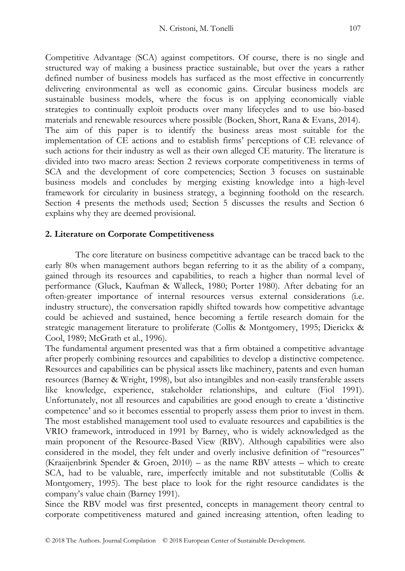Competitive Advantage (SCA) against competitors. Of course, there is no single and structured way of making a business practice sustainable, but over the years a rather defined number of business models has surfaced as the most effective in concurrently delivering environmental as well as economic gains. Circular business models are sustainable business models, where the focus is on applying economically viable strategies to continually exploit products over many lifecycles and to use bio-based materials and renewable resources where possible (Bocken, Short, Rana & Evans, 2014). The aim of this paper is to identify the business areas most suitable for the implementation of CE actions and to establish firms" perceptions of CE relevance of such actions for their industry as well as their own alleged CE maturity. The literature is divided into two macro areas: Section 2 reviews corporate competitiveness in terms of SCA and the development of core competencies; Section 3 focuses on sustainable business models and concludes by merging existing knowledge into a high-level framework for circularity in business strategy, a beginning foothold on the research. Section 4 presents the methods used; Section 5 discusses the results and Section 6 explains why they are deemed provisional.

# **2. Literature on Corporate Competitiveness**

The core literature on business competitive advantage can be traced back to the early 80s when management authors began referring to it as the ability of a company, gained through its resources and capabilities, to reach a higher than normal level of performance (Gluck, Kaufman & Walleck, 1980; Porter 1980). After debating for an often-greater importance of internal resources versus external considerations (i.e. industry structure), the conversation rapidly shifted towards how competitive advantage could be achieved and sustained, hence becoming a fertile research domain for the strategic management literature to proliferate (Collis & Montgomery, 1995; Dierickx & Cool, 1989; McGrath et al., 1996).

The fundamental argument presented was that a firm obtained a competitive advantage after properly combining resources and capabilities to develop a distinctive competence. Resources and capabilities can be physical assets like machinery, patents and even human resources (Barney & Wright, 1998), but also intangibles and non-easily transferable assets like knowledge, experience, stakeholder relationships, and culture (Fiol 1991). Unfortunately, not all resources and capabilities are good enough to create a "distinctive competence" and so it becomes essential to properly assess them prior to invest in them. The most established management tool used to evaluate resources and capabilities is the VRIO framework, introduced in 1991 by Barney, who is widely acknowledged as the main proponent of the Resource-Based View (RBV). Although capabilities were also considered in the model, they felt under and overly inclusive definition of "resources" (Kraaijenbrink Spender & Groen, 2010) – as the name RBV attests – which to create SCA, had to be valuable, rare, imperfectly imitable and not substitutable (Collis & Montgomery, 1995). The best place to look for the right resource candidates is the company"s value chain (Barney 1991).

Since the RBV model was first presented, concepts in management theory central to corporate competitiveness matured and gained increasing attention, often leading to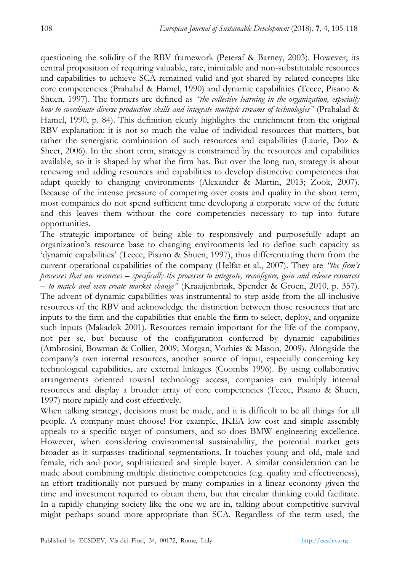questioning the solidity of the RBV framework (Peteraf & Barney, 2003). However, its central proposition of requiring valuable, rare, inimitable and non-substitutable resources and capabilities to achieve SCA remained valid and got shared by related concepts like core competencies (Prahalad & Hamel, 1990) and dynamic capabilities (Teece, Pisano & Shuen, 1997). The formers are defined as *"the collective learning in the organization, especially how to coordinate diverse production skills and integrate multiple streams of technologies"* (Prahalad & Hamel, 1990, p. 84). This definition clearly highlights the enrichment from the original RBV explanation: it is not so much the value of individual resources that matters, but rather the synergistic combination of such resources and capabilities (Laurie, Doz & Sheer, 2006). In the short term, strategy is constrained by the resources and capabilities available, so it is shaped by what the firm has. But over the long run, strategy is about renewing and adding resources and capabilities to develop distinctive competences that adapt quickly to changing environments (Alexander & Martin, 2013; Zook, 2007). Because of the intense pressure of competing over costs and quality in the short term, most companies do not spend sufficient time developing a corporate view of the future and this leaves them without the core competencies necessary to tap into future opportunities.

The strategic importance of being able to responsively and purposefully adapt an organization"s resource base to changing environments led to define such capacity as "dynamic capabilities" (Teece, Pisano & Shuen, 1997), thus differentiating them from the current operational capabilities of the company (Helfat et al., 2007). They are *"the firm's processes that use resources – specifically the processes to integrate, reconfigure, gain and release resources – to match and even create market change"* (Kraaijenbrink, Spender & Groen, 2010, p. 357). The advent of dynamic capabilities was instrumental to step aside from the all-inclusive resources of the RBV and acknowledge the distinction between those resources that are inputs to the firm and the capabilities that enable the firm to select, deploy, and organize such inputs (Makadok 2001). Resources remain important for the life of the company, not per se, but because of the configuration conferred by dynamic capabilities (Ambrosini, Bowman & Collier, 2009; Morgan, Vorhies & Mason, 2009). Alongside the company"s own internal resources, another source of input, especially concerning key technological capabilities, are external linkages (Coombs 1996). By using collaborative arrangements oriented toward technology access, companies can multiply internal resources and display a broader array of core competencies (Teece, Pisano & Shuen, 1997) more rapidly and cost effectively.

When talking strategy, decisions must be made, and it is difficult to be all things for all people. A company must choose! For example, IKEA low cost and simple assembly appeals to a specific target of consumers, and so does BMW engineering excellence. However, when considering environmental sustainability, the potential market gets broader as it surpasses traditional segmentations. It touches young and old, male and female, rich and poor, sophisticated and simple buyer. A similar consideration can be made about combining multiple distinctive competencies (e.g. quality and effectiveness), an effort traditionally not pursued by many companies in a linear economy given the time and investment required to obtain them, but that circular thinking could facilitate. In a rapidly changing society like the one we are in, talking about competitive survival might perhaps sound more appropriate than SCA. Regardless of the term used, the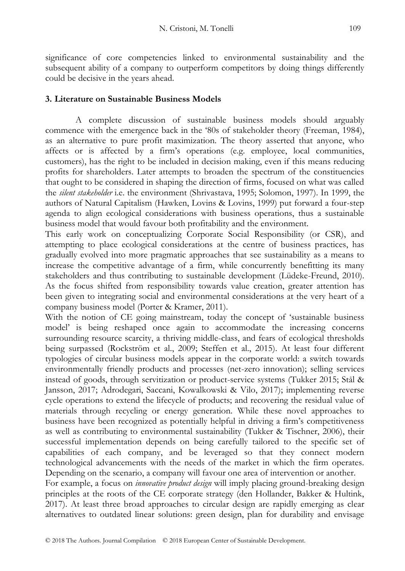significance of core competencies linked to environmental sustainability and the subsequent ability of a company to outperform competitors by doing things differently could be decisive in the years ahead.

# **3. Literature on Sustainable Business Models**

A complete discussion of sustainable business models should arguably commence with the emergence back in the "80s of stakeholder theory (Freeman, 1984), as an alternative to pure profit maximization. The theory asserted that anyone, who affects or is affected by a firm"s operations (e.g. employee, local communities, customers), has the right to be included in decision making, even if this means reducing profits for shareholders. Later attempts to broaden the spectrum of the constituencies that ought to be considered in shaping the direction of firms, focused on what was called the *silent stakeholder* i.e. the environment (Shrivastava, 1995; Solomon, 1997). In 1999, the authors of Natural Capitalism (Hawken, Lovins & Lovins, 1999) put forward a four-step agenda to align ecological considerations with business operations, thus a sustainable business model that would favour both profitability and the environment.

This early work on conceptualizing Corporate Social Responsibility (or CSR), and attempting to place ecological considerations at the centre of business practices, has gradually evolved into more pragmatic approaches that see sustainability as a means to increase the competitive advantage of a firm, while concurrently benefitting its many stakeholders and thus contributing to sustainable development (Lüdeke-Freund, 2010). As the focus shifted from responsibility towards value creation, greater attention has been given to integrating social and environmental considerations at the very heart of a company business model (Porter & Kramer, 2011).

With the notion of CE going mainstream, today the concept of 'sustainable business model" is being reshaped once again to accommodate the increasing concerns surrounding resource scarcity, a thriving middle-class, and fears of ecological thresholds being surpassed (Rockström et al., 2009; Steffen et al., 2015). At least four different typologies of circular business models appear in the corporate world: a switch towards environmentally friendly products and processes (net-zero innovation); selling services instead of goods, through servitization or product-service systems (Tukker 2015; Stål & Jansson, 2017; Adrodegari, Saccani, Kowalkowski & Vilo, 2017); implementing reverse cycle operations to extend the lifecycle of products; and recovering the residual value of materials through recycling or energy generation. While these novel approaches to business have been recognized as potentially helpful in driving a firm"s competitiveness as well as contributing to environmental sustainability (Tukker & Tischner, 2006), their successful implementation depends on being carefully tailored to the specific set of capabilities of each company, and be leveraged so that they connect modern technological advancements with the needs of the market in which the firm operates. Depending on the scenario, a company will favour one area of intervention or another.

For example, a focus on *innovative product design* will imply placing ground-breaking design principles at the roots of the CE corporate strategy (den Hollander, Bakker & Hultink, 2017). At least three broad approaches to circular design are rapidly emerging as clear alternatives to outdated linear solutions: green design, plan for durability and envisage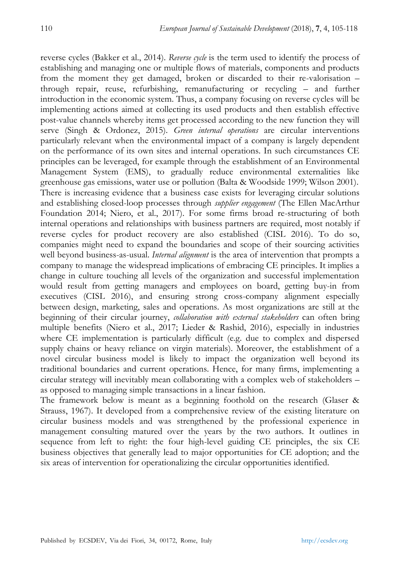reverse cycles (Bakker et al., 2014). *Reverse cycle* is the term used to identify the process of establishing and managing one or multiple flows of materials, components and products from the moment they get damaged, broken or discarded to their re-valorisation – through repair, reuse, refurbishing, remanufacturing or recycling – and further introduction in the economic system. Thus, a company focusing on reverse cycles will be implementing actions aimed at collecting its used products and then establish effective post-value channels whereby items get processed according to the new function they will serve (Singh & Ordonez, 2015). *Green internal operations* are circular interventions particularly relevant when the environmental impact of a company is largely dependent on the performance of its own sites and internal operations. In such circumstances CE principles can be leveraged, for example through the establishment of an Environmental Management System (EMS), to gradually reduce environmental externalities like greenhouse gas emissions, water use or pollution (Balta & Woodside 1999; Wilson 2001). There is increasing evidence that a business case exists for leveraging circular solutions and establishing closed-loop processes through *supplier engagement* (The Ellen MacArthur Foundation 2014; Niero, et al., 2017). For some firms broad re-structuring of both internal operations and relationships with business partners are required, most notably if reverse cycles for product recovery are also established (CISL 2016). To do so, companies might need to expand the boundaries and scope of their sourcing activities well beyond business-as-usual. *Internal alignment* is the area of intervention that prompts a company to manage the widespread implications of embracing CE principles. It implies a change in culture touching all levels of the organization and successful implementation would result from getting managers and employees on board, getting buy-in from executives (CISL 2016), and ensuring strong cross-company alignment especially between design, marketing, sales and operations. As most organizations are still at the beginning of their circular journey, *collaboration with external stakeholders* can often bring multiple benefits (Niero et al., 2017; Lieder & Rashid, 2016), especially in industries where CE implementation is particularly difficult (e.g. due to complex and dispersed supply chains or heavy reliance on virgin materials). Moreover, the establishment of a novel circular business model is likely to impact the organization well beyond its traditional boundaries and current operations. Hence, for many firms, implementing a circular strategy will inevitably mean collaborating with a complex web of stakeholders – as opposed to managing simple transactions in a linear fashion.

The framework below is meant as a beginning foothold on the research (Glaser & Strauss, 1967). It developed from a comprehensive review of the existing literature on circular business models and was strengthened by the professional experience in management consulting matured over the years by the two authors. It outlines in sequence from left to right: the four high-level guiding CE principles, the six CE business objectives that generally lead to major opportunities for CE adoption; and the six areas of intervention for operationalizing the circular opportunities identified.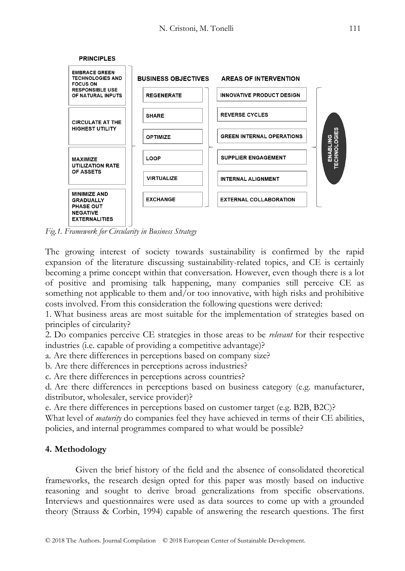

*Fig.1. Framework for Circularity in Business Strategy*

The growing interest of society towards sustainability is confirmed by the rapid expansion of the literature discussing sustainability-related topics, and CE is certainly becoming a prime concept within that conversation. However, even though there is a lot of positive and promising talk happening, many companies still perceive CE as something not applicable to them and/or too innovative, with high risks and prohibitive costs involved. From this consideration the following questions were derived:

1. What business areas are most suitable for the implementation of strategies based on principles of circularity?

2. Do companies perceive CE strategies in those areas to be *relevant* for their respective industries (i.e. capable of providing a competitive advantage)?

a. Are there differences in perceptions based on company size?

b. Are there differences in perceptions across industries?

c. Are there differences in perceptions across countries?

d. Are there differences in perceptions based on business category (e.g. manufacturer, distributor, wholesaler, service provider)?

e. Are there differences in perceptions based on customer target (e.g. B2B, B2C)?

What level of *maturity* do companies feel they have achieved in terms of their CE abilities, policies, and internal programmes compared to what would be possible?

# **4. Methodology**

Given the brief history of the field and the absence of consolidated theoretical frameworks, the research design opted for this paper was mostly based on inductive reasoning and sought to derive broad generalizations from specific observations. Interviews and questionnaires were used as data sources to come up with a grounded theory (Strauss & Corbin, 1994) capable of answering the research questions. The first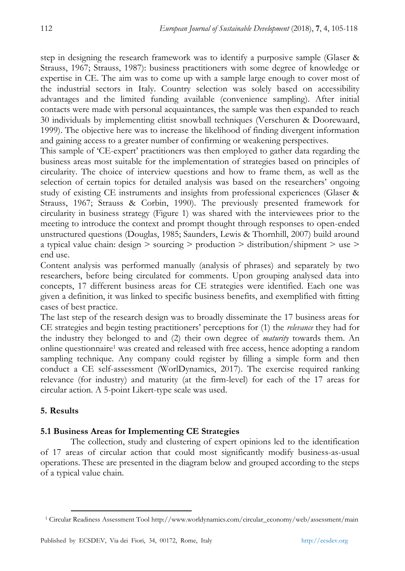step in designing the research framework was to identify a purposive sample (Glaser & Strauss, 1967; Strauss, 1987): business practitioners with some degree of knowledge or expertise in CE. The aim was to come up with a sample large enough to cover most of the industrial sectors in Italy. Country selection was solely based on accessibility advantages and the limited funding available (convenience sampling). After initial contacts were made with personal acquaintances, the sample was then expanded to reach 30 individuals by implementing elitist snowball techniques (Verschuren & Doorewaard, 1999). The objective here was to increase the likelihood of finding divergent information and gaining access to a greater number of confirming or weakening perspectives.

This sample of "CE-expert" practitioners was then employed to gather data regarding the business areas most suitable for the implementation of strategies based on principles of circularity. The choice of interview questions and how to frame them, as well as the selection of certain topics for detailed analysis was based on the researchers" ongoing study of existing CE instruments and insights from professional experiences (Glaser & Strauss, 1967; Strauss & Corbin, 1990). The previously presented framework for circularity in business strategy (Figure 1) was shared with the interviewees prior to the meeting to introduce the context and prompt thought through responses to open-ended unstructured questions (Douglas, 1985; Saunders, Lewis & Thornhill, 2007) build around a typical value chain: design > sourcing > production > distribution/shipment > use > end use.

Content analysis was performed manually (analysis of phrases) and separately by two researchers, before being circulated for comments. Upon grouping analysed data into concepts, 17 different business areas for CE strategies were identified. Each one was given a definition, it was linked to specific business benefits, and exemplified with fitting cases of best practice.

The last step of the research design was to broadly disseminate the 17 business areas for CE strategies and begin testing practitioners" perceptions for (1) the *relevance* they had for the industry they belonged to and (2) their own degree of *maturity* towards them. An online questionnaire<sup>1</sup> was created and released with free access, hence adopting a random sampling technique. Any company could register by filling a simple form and then conduct a CE self-assessment (WorlDynamics, 2017). The exercise required ranking relevance (for industry) and maturity (at the firm-level) for each of the 17 areas for circular action. A 5-point Likert-type scale was used.

# **5. Results**

# **5.1 Business Areas for Implementing CE Strategies**

The collection, study and clustering of expert opinions led to the identification of 17 areas of circular action that could most significantly modify business-as-usual operations. These are presented in the diagram below and grouped according to the steps of a typical value chain.

 $\overline{a}$ <sup>1</sup> Circular Readiness Assessment Tool http://www.worldynamics.com/circular\_economy/web/assessment/main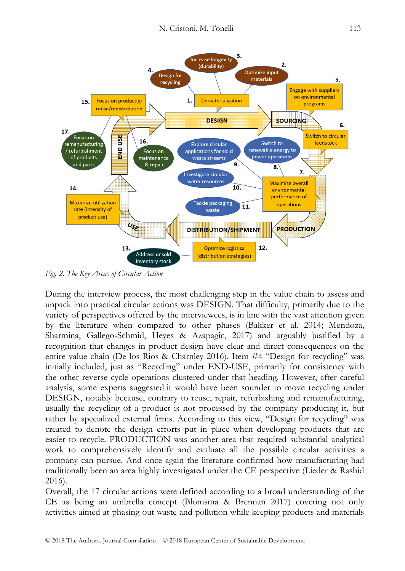

*Fig. 2. The Key Areas of Circular Action*

During the interview process, the most challenging step in the value chain to assess and unpack into practical circular actions was DESIGN. That difficulty, primarily due to the variety of perspectives offered by the interviewees, is in line with the vast attention given by the literature when compared to other phases (Bakker et al. 2014; Mendoza, Sharmina, Gallego-Schmid, Heyes & Azapagic, 2017) and arguably justified by a recognition that changes in product design have clear and direct consequences on the entire value chain (De los Rios & Charnley 2016). Item #4 "Design for recycling" was initially included, just as "Recycling" under END-USE, primarily for consistency with the other reverse cycle operations clustered under that heading. However, after careful analysis, some experts suggested it would have been sounder to move recycling under DESIGN, notably because, contrary to reuse, repair, refurbishing and remanufacturing, usually the recycling of a product is not processed by the company producing it, but rather by specialized external firms. According to this view, "Design for recycling" was created to denote the design efforts put in place when developing products that are easier to recycle. PRODUCTION was another area that required substantial analytical work to comprehensively identify and evaluate all the possible circular activities a company can pursue. And once again the literature confirmed how manufacturing had traditionally been an area highly investigated under the CE perspective (Lieder & Rashid 2016).

Overall, the 17 circular actions were defined according to a broad understanding of the CE as being an umbrella concept (Blomsma & Brennan 2017) covering not only activities aimed at phasing out waste and pollution while keeping products and materials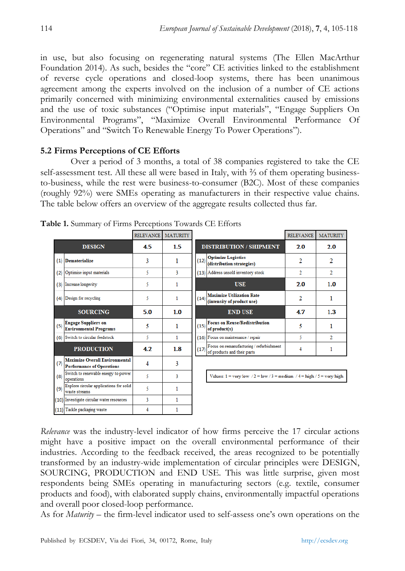in use, but also focusing on regenerating natural systems (The Ellen MacArthur Foundation 2014). As such, besides the "core" CE activities linked to the establishment of reverse cycle operations and closed-loop systems, there has been unanimous agreement among the experts involved on the inclusion of a number of CE actions primarily concerned with minimizing environmental externalities caused by emissions and the use of toxic substances ("Optimise input materials", "Engage Suppliers On Environmental Programs", "Maximize Overall Environmental Performance Of Operations" and "Switch To Renewable Energy To Power Operations").

# **5.2 Firms Perceptions of CE Efforts**

Over a period of 3 months, a total of 38 companies registered to take the CE self-assessment test. All these all were based in Italy, with ⅔ of them operating businessto-business, while the rest were business-to-consumer (B2C). Most of these companies (roughly 92%) were SMEs operating as manufacturers in their respective value chains. The table below offers an overview of the aggregate results collected thus far.

|     |                                                                           | <b>RELEVANCE</b> | <b>MATURITY</b> |      |                                                                                                             | <b>RELEVANCE</b> | <b>MATURITY</b> |
|-----|---------------------------------------------------------------------------|------------------|-----------------|------|-------------------------------------------------------------------------------------------------------------|------------------|-----------------|
|     | <b>DESIGN</b>                                                             | 4.5              | 1.5             |      | <b>DISTRIBUTION / SHIPMENT</b>                                                                              | 2.0              | 2.0             |
|     | (1) Dematerialize                                                         | 3                | 1               | (12) | <b>Optimize Logistics</b><br>(distribution strategies)                                                      | 2                | 2               |
| (2) | Optimise input materials                                                  | 5                | 3               |      | (13) Address unsold inventory stock                                                                         | 2                | $\overline{2}$  |
| (3) | Increase longevity                                                        | 5                | 1               |      | <b>USE</b>                                                                                                  | 2.0              | 1.0             |
| (4) | Design for recycling                                                      | 5                | 1               | (14) | <b>Maximize Utilization Rate</b><br>(intensity of product use)                                              | 2                |                 |
|     | <b>SOURCING</b>                                                           | 5.0              | 1.0             |      | <b>END USE</b>                                                                                              | 4.7              | 1.3             |
| (5) | <b>Engage Suppliers on</b><br><b>Environmental Programs</b>               | 5                | 1               | (15) | <b>Focus on Reuse/Redistribution</b><br>of product(s)                                                       | 5                | 1               |
|     | (6) Switch to circular feedstock                                          | 5                | 1               |      | (16) Focus on maintenance / repair                                                                          | 5                | $\overline{2}$  |
|     | <b>PRODUCTION</b>                                                         | 4.2              | 1.8             | (17) | Focus on remanufacturing / refurbishment<br>of products and their parts                                     | 4                | 1               |
| (7) | <b>Maximize Overall Environmental</b><br><b>Performance of Operations</b> | 4                | 3               |      |                                                                                                             |                  |                 |
| (8) | Switch to renewable energy to power<br>operations                         | 5                | 3               |      | Values: $1 = \text{very low} / 2 = \text{low} / 3 = \text{medium} / 4 = \text{high} / 5 = \text{very high}$ |                  |                 |
| (9) | Explore circular applications for solid<br>waste streams                  | 5                | 1               |      |                                                                                                             |                  |                 |
|     | (10) Investigate circular water resources                                 | 3                | 1               |      |                                                                                                             |                  |                 |
|     | (11) Tackle packaging waste                                               | 4                | 1               |      |                                                                                                             |                  |                 |

**Table 1.** Summary of Firms Perceptions Towards CE Efforts

*Relevance* was the industry-level indicator of how firms perceive the 17 circular actions might have a positive impact on the overall environmental performance of their industries. According to the feedback received, the areas recognized to be potentially transformed by an industry-wide implementation of circular principles were DESIGN, SOURCING, PRODUCTION and END USE. This was little surprise, given most respondents being SMEs operating in manufacturing sectors (e.g. textile, consumer products and food), with elaborated supply chains, environmentally impactful operations and overall poor closed-loop performance.

As for *Maturity* – the firm-level indicator used to self-assess one"s own operations on the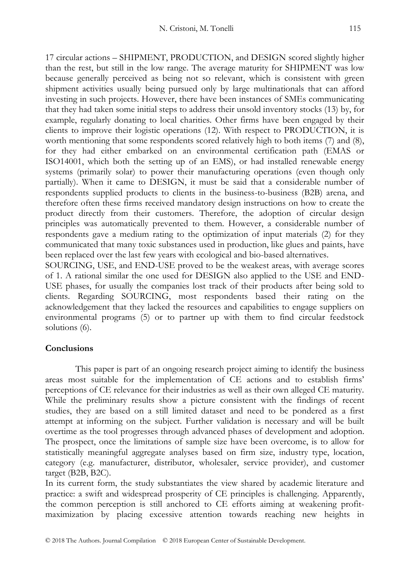17 circular actions – SHIPMENT, PRODUCTION, and DESIGN scored slightly higher than the rest, but still in the low range. The average maturity for SHIPMENT was low because generally perceived as being not so relevant, which is consistent with green shipment activities usually being pursued only by large multinationals that can afford investing in such projects. However, there have been instances of SMEs communicating that they had taken some initial steps to address their unsold inventory stocks (13) by, for example, regularly donating to local charities. Other firms have been engaged by their clients to improve their logistic operations (12). With respect to PRODUCTION, it is worth mentioning that some respondents scored relatively high to both items (7) and (8), for they had either embarked on an environmental certification path (EMAS or ISO14001, which both the setting up of an EMS), or had installed renewable energy systems (primarily solar) to power their manufacturing operations (even though only partially). When it came to DESIGN, it must be said that a considerable number of respondents supplied products to clients in the business-to-business (B2B) arena, and therefore often these firms received mandatory design instructions on how to create the product directly from their customers. Therefore, the adoption of circular design principles was automatically prevented to them. However, a considerable number of respondents gave a medium rating to the optimization of input materials (2) for they communicated that many toxic substances used in production, like glues and paints, have been replaced over the last few years with ecological and bio-based alternatives.

SOURCING, USE, and END-USE proved to be the weakest areas, with average scores of 1. A rational similar the one used for DESIGN also applied to the USE and END-USE phases, for usually the companies lost track of their products after being sold to clients. Regarding SOURCING, most respondents based their rating on the acknowledgement that they lacked the resources and capabilities to engage suppliers on environmental programs (5) or to partner up with them to find circular feedstock solutions (6).

# **Conclusions**

This paper is part of an ongoing research project aiming to identify the business areas most suitable for the implementation of CE actions and to establish firms" perceptions of CE relevance for their industries as well as their own alleged CE maturity. While the preliminary results show a picture consistent with the findings of recent studies, they are based on a still limited dataset and need to be pondered as a first attempt at informing on the subject. Further validation is necessary and will be built overtime as the tool progresses through advanced phases of development and adoption. The prospect, once the limitations of sample size have been overcome, is to allow for statistically meaningful aggregate analyses based on firm size, industry type, location, category (e.g. manufacturer, distributor, wholesaler, service provider), and customer target (B2B, B2C).

In its current form, the study substantiates the view shared by academic literature and practice: a swift and widespread prosperity of CE principles is challenging. Apparently, the common perception is still anchored to CE efforts aiming at weakening profitmaximization by placing excessive attention towards reaching new heights in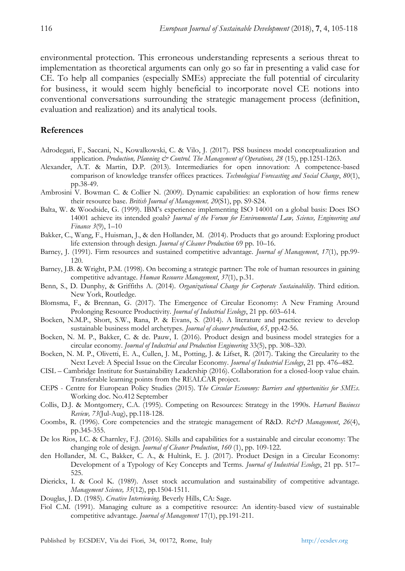environmental protection. This erroneous understanding represents a serious threat to implementation as theoretical arguments can only go so far in presenting a valid case for CE. To help all companies (especially SMEs) appreciate the full potential of circularity for business, it would seem highly beneficial to incorporate novel CE notions into conventional conversations surrounding the strategic management process (definition, evaluation and realization) and its analytical tools.

### **References**

- Adrodegari, F., Saccani, N., Kowalkowski, C. & Vilo, J. (2017). PSS business model conceptualization and application. *Production, Planning & Control. The Management of Operations, 28* (15), pp.1251-1263.
- Alexander, A.T. & Martin, D.P. (2013). Intermediaries for open innovation: A competence-based comparison of knowledge transfer offices practices. *Technological Forecasting and Social Change*, *80*(1), pp.38-49.
- Ambrosini V. Bowman C. & Collier N. (2009). Dynamic capabilities: an exploration of how firms renew their resource base. *British Journal of Management, 20*(S1), pp. S9-S24.
- Balta, W. & Woodside, G. (1999). IBM"s experience implementing ISO 14001 on a global basis: Does ISO 14001 achieve its intended goals? *Journal of the Forum for Environmental Law, Science, Engineering and Finance 3*(9), 1–10
- Bakker, C., Wang, F., Huisman, J., & den Hollander, M. (2014). Products that go around: Exploring product life extension through design. *Journal of Cleaner Production* 69 pp. 10–16.
- Barney, J. (1991). Firm resources and sustained competitive advantage. *Journal of Management*, *17*(1), pp.99- 120.
- Barney, J.B. & Wright, P.M. (1998). On becoming a strategic partner: The role of human resources in gaining competitive advantage. *Human Resource Management*, *37*(1), p.31.
- Benn, S., D. Dunphy, & Griffiths A. (2014). *Organizational Change for Corporate Sustainability*. Third edition. New York, Routledge.
- Blomsma, F., & Brennan, G. (2017). The Emergence of Circular Economy: A New Framing Around Prolonging Resource Productivity. *Journal of Industrial Ecology*, 21 pp. 603–614.
- Bocken, N.M.P., Short, S.W., Rana, P. & Evans, S. (2014). A literature and practice review to develop sustainable business model archetypes. *Journal of cleaner production*, *65*, pp.42-56.
- Bocken, N. M. P., Bakker, C. & de. Pauw, I. (2016). Product design and business model strategies for a circular economy. *Journal of Industrial and Production Engineering* 33(5), pp. 308–320.
- Bocken, N. M. P., Olivetti, E. A., Cullen, J. M., Potting, J. & Lifset, R. (2017). Taking the Circularity to the Next Level: A Special Issue on the Circular Economy. *Journal of Industrial Ecology*, 21 pp. 476–482.
- CISL Cambridge Institute for Sustainability Leadership (2016). Collaboration for a closed-loop value chain. Transferable learning points from the REALCAR project.
- CEPS Centre for European Policy Studies (2015). T*he Circular Economy: Barriers and opportunities for SMEs*. Working doc. No.412 September
- Collis, D.J. & Montgomery, C.A. (1995). Competing on Resources: Strategy in the 1990s. *Harvard Business Review, 73*(Jul-Aug), pp.118-128.
- Coombs, R. (1996). Core competencies and the strategic management of R&D. *R&D Management*, *26*(4), pp.345-355.
- De los Rios, I.C. & Charnley, F.J. (2016). Skills and capabilities for a sustainable and circular economy: The changing role of design. *Journal of Cleaner Production*, *160* (1), pp. 109-122.
- den Hollander, M. C., Bakker, C. A., & Hultink, E. J. (2017). Product Design in a Circular Economy: Development of a Typology of Key Concepts and Terms. *Journal of Industrial Ecology*, 21 pp. 517– 525.
- Dierickx, I. & Cool K. (1989). Asset stock accumulation and sustainability of competitive advantage. *Management Science, 35*(12), pp.1504-1511.
- Douglas, J. D. (1985). *Creative Interviewing*. Beverly Hills, CA: Sage.
- Fiol C.M. (1991). Managing culture as a competitive resource: An identity-based view of sustainable competitive advantage. *Journal of Management* 17(1), pp.191-211.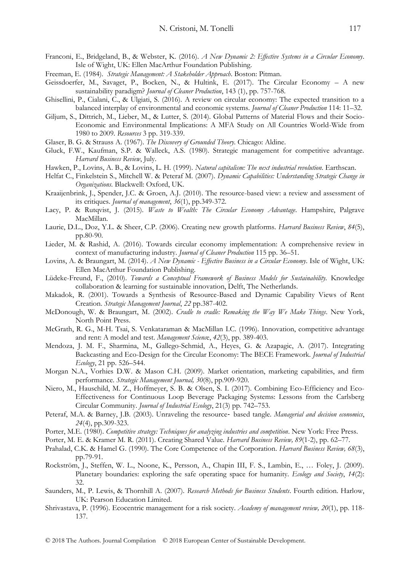- Franconi, E., Bridgeland, B., & Webster, K. (2016). *A New Dynamic 2: Effective Systems in a Circular Economy*. Isle of Wight, UK: Ellen MacArthur Foundation Publishing.
- Freeman, E. (1984). *Strategic Management: A Stakeholder Approach*. Boston: Pitman.
- Geissdoerfer, M., Savaget, P., Bocken, N., & Hultink, E. (2017). The Circular Economy A new sustainability paradigm? *Journal of Cleaner Production*, 143 (1), pp. 757-768.
- Ghisellini, P., Cialani, C., & Ulgiati, S. (2016). A review on circular economy: The expected transition to a balanced interplay of environmental and economic systems. *Journal of Cleaner Production* 114: 11–32.
- Giljum, S., Dittrich, M., Lieber, M., & Lutter, S. (2014). Global Patterns of Material Flows and their Socio-Economic and Environmental Implications: A MFA Study on All Countries World-Wide from 1980 to 2009. *Resources* 3 pp. 319-339.
- Glaser, B. G. & Strauss A. (1967). *The Discovery of Grounded Theory*. Chicago: Aldine.
- Gluck, F.W., Kaufman, S.P. & Walleck, A.S. (1980). Strategic management for competitive advantage. *Harvard Business Review*, July.
- Hawken, P., Lovins, A. B., & Lovins, L. H. (1999). *Natural capitalism: The next industrial revolution*. Earthscan.
- Helfat C., Finkelstein S., Mitchell W. & Peteraf M. (2007). *Dynamic Capabilities: Understanding Strategic Change in Organizations.* Blackwell: Oxford, UK.
- Kraaijenbrink, J., Spender, J.C. & Groen, A.J. (2010). The resource-based view: a review and assessment of its critiques. *Journal of management*, *36*(1), pp.349-372.
- Lacy, P. & Rutqvist, J. (2015). *Waste to Wealth: The Circular Economy Advantage*. Hampshire, Palgrave MacMillan.
- Laurie, D.L., Doz, Y.L. & Sheer, C.P. (2006). Creating new growth platforms. *Harvard Business Review*, *84*(5), pp.80-90.
- Lieder, M. & Rashid, A. (2016). Towards circular economy implementation: A comprehensive review in context of manufacturing industry. *Journal of Cleaner Production* 115 pp. 36–51.
- Lovins, A. & Braungart, M. (2014). *A New Dynamic - Effective Business in a Circular Economy*. Isle of Wight, UK: Ellen MacArthur Foundation Publishing.
- Lüdeke-Freund, F., (2010). *Towards a Conceptual Framework of Business Models for Sustainability.* Knowledge collaboration & learning for sustainable innovation, Delft, The Netherlands.
- Makadok, R. (2001). Towards a Synthesis of Resource-Based and Dynamic Capability Views of Rent Creation. *Strategic Management Journal*, *22* pp.387-402.
- McDonough, W. & Braungart, M. (2002). *Cradle to cradle: Remaking the Way We Make Things*. New York, North Point Press.
- McGrath, R. G., M-H. Tsai, S. Venkataraman & MacMillan I.C. (1996). Innovation, competitive advantage and rent: A model and test. *Management Scienc*e, *42*(3), pp. 389-403.
- Mendoza, J. M. F., Sharmina, M., Gallego-Schmid, A., Heyes, G. & Azapagic, A. (2017). Integrating Backcasting and Eco-Design for the Circular Economy: The BECE Framework. *Journal of Industrial Ecology*, 21 pp. 526–544.
- Morgan N.A., Vorhies D.W. & Mason C.H. (2009). Market orientation, marketing capabilities, and firm performance. *Strategic Management Journal, 30*(8), pp.909-920.
- Niero, M., Hauschild, M. Z., Hoffmeyer, S. B. & Olsen, S. I. (2017). Combining Eco-Efficiency and Eco-Effectiveness for Continuous Loop Beverage Packaging Systems: Lessons from the Carlsberg Circular Community. *Journal of Industrial Ecology*, 21(3) pp. 742–753.
- Peteraf, M.A. & Barney, J.B. (2003). Unraveling the resource‐ based tangle. *Managerial and decision economics*, *24*(4), pp.309-323.
- Porter, M.E. (1980). *Competitive strategy: Techniques for analyzing industries and competition*. New York: Free Press.
- Porter, M. E. & Kramer M. R. (2011). Creating Shared Value. *Harvard Business Review, 89*(1-2), pp. 62–77.
- Prahalad, C.K. & Hamel G. (1990). The Core Competence of the Corporation. *Harvard Business Review, 68*(3), pp.79-91.
- Rockström, J., Steffen, W. L., Noone, K., Persson, A., Chapin III, F. S., Lambin, E., … Foley, J. (2009). Planetary boundaries: exploring the safe operating space for humanity. *Ecology and Society*, *14*(2): 32.
- Saunders, M., P. Lewis, & Thornhill A. (2007). *Research Methods for Business Students*. Fourth edition. Harlow, UK: Pearson Education Limited.
- Shrivastava, P. (1996). Ecocentric management for a risk society. *Academy of management review, 20*(1), pp. 118- 137.